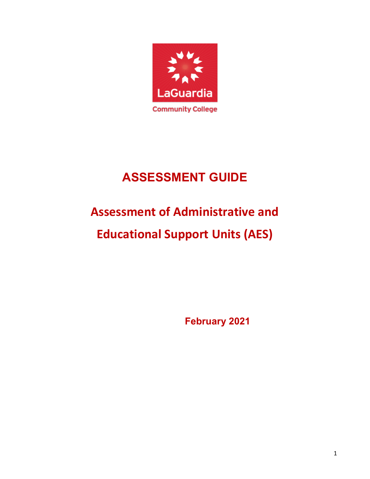

# **ASSESSMENT GUIDE**

# **Assessment of Administrative and**

# **Educational Support Units (AES)**

**February 2021**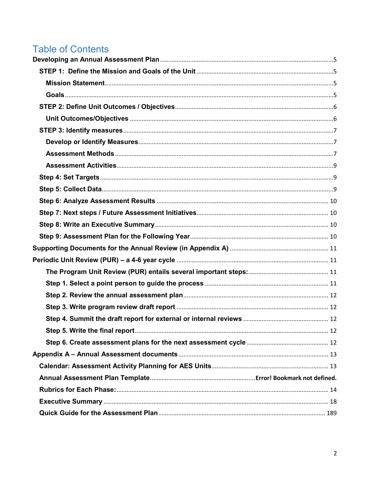# **Table of Contents**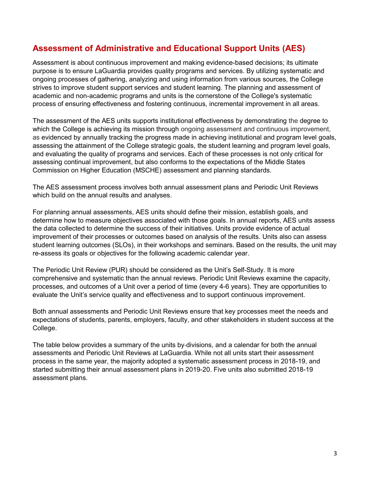# **Assessment of Administrative and Educational Support Units (AES)**

Assessment is about continuous improvement and making evidence-based decisions; its ultimate purpose is to ensure LaGuardia provides quality programs and services. By utilizing systematic and ongoing processes of gathering, analyzing and using information from various sources, the College strives to improve student support services and student learning. The planning and assessment of academic and non-academic programs and units is the cornerstone of the College's systematic process of ensuring effectiveness and fostering continuous, incremental improvement in all areas.

The assessment of the AES units supports institutional effectiveness by demonstrating the degree to which the College is achieving its mission through ongoing assessment and continuous improvement, as evidenced by annually tracking the progress made in achieving institutional and program level goals, assessing the attainment of the College strategic goals, the student learning and program level goals, and evaluating the quality of programs and services. Each of these processes is not only critical for assessing continual improvement, but also conforms to the expectations of the Middle States Commission on Higher Education (MSCHE) assessment and planning standards.

The AES assessment process involves both annual assessment plans and Periodic Unit Reviews which build on the annual results and analyses.

For planning annual assessments, AES units should define their mission, establish goals, and determine how to measure objectives associated with those goals. In annual reports, AES units assess the data collected to determine the success of their initiatives. Units provide evidence of actual improvement of their processes or outcomes based on analysis of the results. Units also can assess student learning outcomes (SLOs), in their workshops and seminars. Based on the results, the unit may re-assess its goals or objectives for the following academic calendar year.

The Periodic Unit Review (PUR) should be considered as the Unit's Self-Study. It is more comprehensive and systematic than the annual reviews. Periodic Unit Reviews examine the capacity, processes, and outcomes of a Unit over a period of time (every 4-6 years). They are opportunities to evaluate the Unit's service quality and effectiveness and to support continuous improvement.

Both annual assessments and Periodic Unit Reviews ensure that key processes meet the needs and expectations of students, parents, employers, faculty, and other stakeholders in student success at the College.

The table below provides a summary of the units by divisions, and a calendar for both the annual assessments and Periodic Unit Reviews at LaGuardia. While not all units start their assessment process in the same year, the majority adopted a systematic assessment process in 2018-19, and started submitting their annual assessment plans in 2019-20. Five units also submitted 2018-19 assessment plans.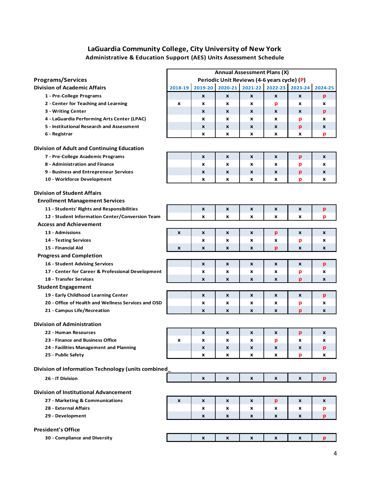### **LaGuardia Community College, City University of New York Administrative & Education Support (AES) Units Assessment Schedule**

|                                                     | <b>Annual Assessment Plans (X)</b> |                           |                                             |   |   |                  |                  |
|-----------------------------------------------------|------------------------------------|---------------------------|---------------------------------------------|---|---|------------------|------------------|
| <b>Programs/Services</b>                            |                                    |                           | Periodic Unit Reviews (4-6 years cycle) (P) |   |   |                  |                  |
| <b>Division of Academic Affairs</b>                 | 2018-19                            |                           | 2019-20 2020-21 2021-22 2022-23 2023-24     |   |   |                  | 2024-25          |
| 1 - Pre-College Programs                            |                                    | $\boldsymbol{\mathsf{x}}$ | X                                           | X | X | $\boldsymbol{x}$ | p                |
| 2 - Center for Teaching and Learning                | $\boldsymbol{x}$                   | X                         | X                                           | x | p | X                | x                |
| 3 - Writing Center                                  |                                    | X                         | X                                           | X | X | X                | p                |
| 4 - LaGuardia Performing Arts Center (LPAC)         |                                    | x                         | X                                           | x | x | р                | x                |
| 5 - Institutional Research and Assessment           |                                    | X                         | X                                           | X | X | р                | x                |
| 6 - Registrar                                       |                                    | x                         | x                                           | x | x | x                | p                |
| <b>Division of Adult and Continuing Education</b>   |                                    |                           |                                             |   |   |                  |                  |
| 7 - Pre-College Academic Programs                   |                                    | $\boldsymbol{x}$          | X                                           | X | X | p                | $\boldsymbol{x}$ |
| 8 - Administration and Finance                      |                                    | X                         | X                                           | x | x | р                | X                |
| 9 - Business and Entrepreneur Services              |                                    | X                         | X                                           | x | X | p                | X                |
| 10 - Workforce Development                          |                                    | x                         | x                                           | x | x | р                | X                |
|                                                     |                                    |                           |                                             |   |   |                  |                  |
| <b>Division of Student Affairs</b>                  |                                    |                           |                                             |   |   |                  |                  |
| <b>Enrollment Management Services</b>               |                                    |                           |                                             |   |   |                  |                  |
| 11 - Students' Rights and Responsibilities          |                                    | $\mathbf{x}$              | $\boldsymbol{x}$                            | x | X | X                | p                |
| 12 - Student Information Center/Conversion Team     |                                    | X                         | X                                           | x | x | x                | р                |
| <b>Access and Achievement</b>                       |                                    |                           |                                             |   |   |                  |                  |
| 13 - Admissions                                     | X                                  | $\boldsymbol{x}$          | X                                           | X | p | X                | X                |
| 14 - Testing Services                               |                                    | X                         | x                                           | x | x | р                | x                |
| 15 - Financial Aid                                  | $\pmb{\times}$                     | X                         | X                                           | x | p | X                | X                |
| <b>Progress and Completion</b>                      |                                    |                           |                                             |   |   |                  |                  |
| 16 - Student Advising Services                      |                                    | $\pmb{\times}$            | $\boldsymbol{x}$                            | X | X | X                | p                |
| 17 - Center for Career & Professional Development   |                                    | X                         | X                                           | x | x | р                | x                |
| <b>18 - Transfer Services</b>                       |                                    | X                         | X                                           | x | X | р                | X                |
| <b>Student Engagement</b>                           |                                    |                           |                                             |   |   |                  |                  |
| 19 - Early Childhood Learning Center                |                                    | X                         | X                                           | x | X | X                | p                |
| 20 - Office of Health and Wellness Services and OSD |                                    | X                         | X                                           | x | x | р                | x                |
| 21 - Campus Life/Recreation                         |                                    | X                         | X                                           | X | X | p                | X                |
| <b>Division of Administration</b>                   |                                    |                           |                                             |   |   |                  |                  |
| 22 - Human Resources                                |                                    | X                         | X                                           | X | X | p                | X                |
| 23 - Finance and Business Office                    | х                                  | X                         | X                                           | x | P | x                | X                |
| 24 - Facilities Management and Planning             |                                    | X                         | X                                           | x | X | X                | p                |
| 25 - Public Safety                                  |                                    | x                         | x                                           | x | x | p                | X                |
| Division of Information Technology (units combined  |                                    |                           |                                             |   |   |                  |                  |
| 26 - IT Division                                    |                                    | X                         | X                                           | X | X | X                | p                |
|                                                     |                                    |                           |                                             |   |   |                  |                  |
| <b>Division of Institutional Advancement</b>        |                                    |                           |                                             |   |   |                  |                  |
| 27 - Marketing & Communications                     | $\boldsymbol{x}$                   | X                         | X                                           | X | p | X                | X                |
| 28 - External Affairs                               |                                    | X                         | x                                           | X | x | x                | p                |
| 29 - Development                                    |                                    | X                         | X                                           | x | X | X                | p                |
| <b>President's Office</b>                           |                                    |                           |                                             |   |   |                  |                  |
| 30 - Compliance and Diversity                       |                                    | X                         | X                                           | X | X | X                | p                |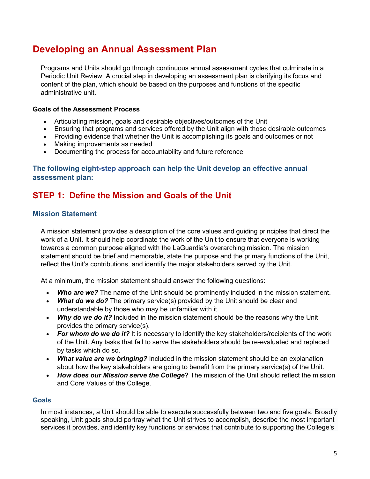# <span id="page-4-0"></span>**Developing an Annual Assessment Plan**

Programs and Units should go through continuous annual assessment cycles that culminate in a Periodic Unit Review. A crucial step in developing an assessment plan is clarifying its focus and content of the plan, which should be based on the purposes and functions of the specific administrative unit.

### **Goals of the Assessment Process**

- Articulating mission, goals and desirable objectives/outcomes of the Unit
- Ensuring that programs and services offered by the Unit align with those desirable outcomes
- Providing evidence that whether the Unit is accomplishing its goals and outcomes or not
- Making improvements as needed
- Documenting the process for accountability and future reference

### **The following eight-step approach can help the Unit develop an effective annual assessment plan:**

# <span id="page-4-1"></span>**STEP 1: Define the Mission and Goals of the Unit**

### <span id="page-4-2"></span>**Mission Statement**

A mission statement provides a description of the core values and guiding principles that direct the work of a Unit. It should help coordinate the work of the Unit to ensure that everyone is working towards a common purpose aligned with the LaGuardia's overarching mission. The mission statement should be brief and memorable, state the purpose and the primary functions of the Unit, reflect the Unit's contributions, and identify the major stakeholders served by the Unit.

At a minimum, the mission statement should answer the following questions:

- *Who are we?* The name of the Unit should be prominently included in the mission statement.
- *What do we do?* The primary service(s) provided by the Unit should be clear and understandable by those who may be unfamiliar with it.
- *Why do we do it?* Included in the mission statement should be the reasons why the Unit provides the primary service(s).
- For whom do we do it? It is necessary to identify the key stakeholders/recipients of the work of the Unit. Any tasks that fail to serve the stakeholders should be re-evaluated and replaced by tasks which do so.
- *What value are we bringing?* Included in the mission statement should be an explanation about how the key stakeholders are going to benefit from the primary service(s) of the Unit.
- *How does our Mission serve the College***?** The mission of the Unit should reflect the mission and Core Values of the College.

### <span id="page-4-3"></span>**Goals**

In most instances, a Unit should be able to execute successfully between two and five goals. Broadly speaking, Unit goals should portray what the Unit strives to accomplish, describe the most important services it provides, and identify key functions or services that contribute to supporting the College's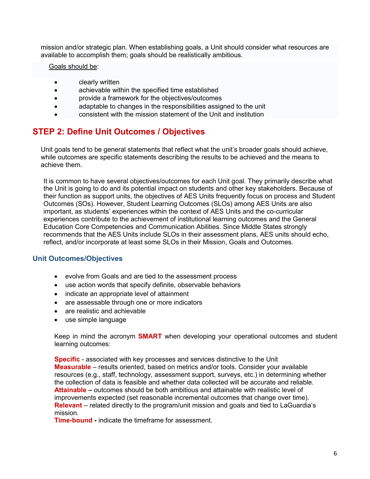mission and/or strategic plan. When establishing goals, a Unit should consider what resources are available to accomplish them; goals should be realistically ambitious.

### Goals should be:

- **clearly written**
- achievable within the specified time established
- provide a framework for the objectives/outcomes
- adaptable to changes in the responsibilities assigned to the unit
- consistent with the mission statement of the Unit and institution

## <span id="page-5-0"></span>**STEP 2: Define Unit Outcomes / Objectives**

Unit goals tend to be general statements that reflect what the unit's broader goals should achieve, while outcomes are specific statements describing the results to be achieved and the means to achieve them.

It is common to have several objectives/outcomes for each Unit goal. They primarily describe what the Unit is going to do and its potential impact on students and other key stakeholders. Because of their function as support units, the objectives of AES Units frequently focus on process and Student Outcomes (SOs). However, Student Learning Outcomes (SLOs) among AES Units are also important, as students' experiences within the context of AES Units and the co-curricular experiences contribute to the achievement of institutional learning outcomes and the General Education Core Competencies and Communication Abilities. Since Middle States strongly recommends that the AES Units include SLOs in their assessment plans, AES units should echo, reflect, and/or incorporate at least some SLOs in their Mission, Goals and Outcomes.

### <span id="page-5-1"></span>**Unit Outcomes/Objectives**

- evolve from Goals and are tied to the assessment process
- use action words that specify definite, observable behaviors
- indicate an appropriate level of attainment
- are assessable through one or more indicators
- are realistic and achievable
- use simple language

Keep in mind the acronym **SMART** when developing your operational outcomes and student learning outcomes:

**Specific** - associated with key processes and services distinctive to the Unit **Measurable** – results oriented, based on metrics and/or tools. Consider your available resources (e.g., staff, technology, assessment support, surveys, etc.) in determining whether the collection of data is feasible and whether data collected will be accurate and reliable. **Attainable –** outcomes should be both ambitious and attainable with realistic level of improvements expected (set reasonable incremental outcomes that change over time). **Relevant** – related directly to the program/unit mission and goals and tied to LaGuardia's mission.

**Time-bound -** indicate the timeframe for assessment.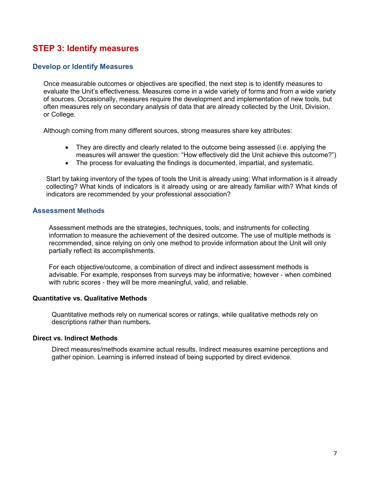# <span id="page-6-0"></span>**STEP 3: Identify measures**

### <span id="page-6-1"></span>**Develop or Identify Measures**

Once measurable outcomes or objectives are specified, the next step is to identify measures to evaluate the Unit's effectiveness. Measures come in a wide variety of forms and from a wide variety of sources. Occasionally, measures require the development and implementation of new tools, but often measures rely on secondary analysis of data that are already collected by the Unit, Division, or College.

Although coming from many different sources, strong measures share key attributes:

- They are directly and clearly related to the outcome being assessed (i.e. applying the measures will answer the question: "How effectively did the Unit achieve this outcome?")
- The process for evaluating the findings is documented, impartial, and systematic.

Start by taking inventory of the types of tools the Unit is already using: What information is it already collecting? What kinds of indicators is it already using or are already familiar with? What kinds of indicators are recommended by your professional association?

### <span id="page-6-2"></span>**Assessment Methods**

Assessment methods are the strategies, techniques, tools, and instruments for collecting information to measure the achievement of the desired outcome. The use of multiple methods is recommended, since relying on only one method to provide information about the Unit will only partially reflect its accomplishments.

For each objective/outcome, a combination of direct and indirect assessment methods is advisable. For example, responses from surveys may be informative; however - when combined with rubric scores - they will be more meaningful, valid, and reliable.

### **Quantitative vs. Qualitative Methods**

Quantitative methods rely on numerical scores or ratings, while qualitative methods rely on descriptions rather than numbers**.**

### **Direct vs. Indirect Methods**

Direct measures/methods examine actual results. Indirect measures examine perceptions and gather opinion. Learning is inferred instead of being supported by direct evidence.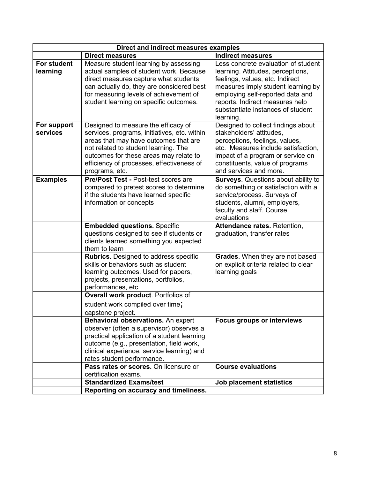|                         | Direct and indirect measures examples                                                                                                                                                                                                                                         |                                                                                                                                                                                                                                                                            |
|-------------------------|-------------------------------------------------------------------------------------------------------------------------------------------------------------------------------------------------------------------------------------------------------------------------------|----------------------------------------------------------------------------------------------------------------------------------------------------------------------------------------------------------------------------------------------------------------------------|
|                         | <b>Direct measures</b>                                                                                                                                                                                                                                                        | <b>Indirect measures</b>                                                                                                                                                                                                                                                   |
| For student<br>learning | Measure student learning by assessing<br>actual samples of student work. Because<br>direct measures capture what students<br>can actually do, they are considered best<br>for measuring levels of achievement of<br>student learning on specific outcomes.                    | Less concrete evaluation of student<br>learning. Attitudes, perceptions,<br>feelings, values, etc. Indirect<br>measures imply student learning by<br>employing self-reported data and<br>reports. Indirect measures help<br>substantiate instances of student<br>learning. |
| For support<br>services | Designed to measure the efficacy of<br>services, programs, initiatives, etc. within<br>areas that may have outcomes that are<br>not related to student learning. The<br>outcomes for these areas may relate to<br>efficiency of processes, effectiveness of<br>programs, etc. | Designed to collect findings about<br>stakeholders' attitudes,<br>perceptions, feelings, values,<br>etc. Measures include satisfaction,<br>impact of a program or service on<br>constituents, value of programs<br>and services and more.                                  |
| <b>Examples</b>         | <b>Pre/Post Test - Post-test scores are</b><br>compared to pretest scores to determine<br>if the students have learned specific<br>information or concepts                                                                                                                    | <b>Surveys.</b> Questions about ability to<br>do something or satisfaction with a<br>service/process. Surveys of<br>students, alumni, employers,<br>faculty and staff. Course<br>evaluations                                                                               |
|                         | <b>Embedded questions. Specific</b><br>questions designed to see if students or<br>clients learned something you expected<br>them to learn                                                                                                                                    | Attendance rates. Retention,<br>graduation, transfer rates                                                                                                                                                                                                                 |
|                         | <b>Rubrics.</b> Designed to address specific<br>skills or behaviors such as student<br>learning outcomes. Used for papers,<br>projects, presentations, portfolios,<br>performances, etc.                                                                                      | Grades. When they are not based<br>on explicit criteria related to clear<br>learning goals                                                                                                                                                                                 |
|                         | Overall work product. Portfolios of<br>student work compiled over time;<br>capstone project.                                                                                                                                                                                  |                                                                                                                                                                                                                                                                            |
|                         | Behavioral observations. An expert<br>observer (often a supervisor) observes a<br>practical application of a student learning<br>outcome (e.g., presentation, field work,<br>clinical experience, service learning) and<br>rates student performance.                         | <b>Focus groups or interviews</b>                                                                                                                                                                                                                                          |
|                         | Pass rates or scores. On licensure or<br>certification exams.                                                                                                                                                                                                                 | <b>Course evaluations</b>                                                                                                                                                                                                                                                  |
|                         | <b>Standardized Exams/test</b>                                                                                                                                                                                                                                                | Job placement statistics                                                                                                                                                                                                                                                   |
|                         | Reporting on accuracy and timeliness.                                                                                                                                                                                                                                         |                                                                                                                                                                                                                                                                            |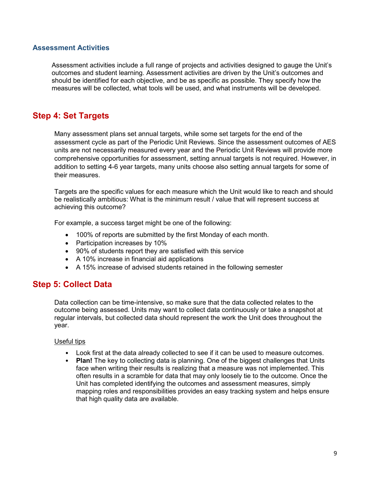### <span id="page-8-0"></span>**Assessment Activities**

Assessment activities include a full range of projects and activities designed to gauge the Unit's outcomes and student learning. Assessment activities are driven by the Unit's outcomes and should be identified for each objective, and be as specific as possible. They specify how the measures will be collected, what tools will be used, and what instruments will be developed.

# <span id="page-8-1"></span>**Step 4: Set Targets**

Many assessment plans set annual targets, while some set targets for the end of the assessment cycle as part of the Periodic Unit Reviews. Since the assessment outcomes of AES units are not necessarily measured every year and the Periodic Unit Reviews will provide more comprehensive opportunities for assessment, setting annual targets is not required. However, in addition to setting 4-6 year targets, many units choose also setting annual targets for some of their measures.

Targets are the specific values for each measure which the Unit would like to reach and should be realistically ambitious: What is the minimum result / value that will represent success at achieving this outcome?

For example, a success target might be one of the following:

- 100% of reports are submitted by the first Monday of each month.
- Participation increases by 10%
- 90% of students report they are satisfied with this service
- A 10% increase in financial aid applications
- A 15% increase of advised students retained in the following semester

### <span id="page-8-2"></span>**Step 5: Collect Data**

Data collection can be time-intensive, so make sure that the data collected relates to the outcome being assessed. Units may want to collect data continuously or take a snapshot at regular intervals, but collected data should represent the work the Unit does throughout the year.

### Useful tips

- Look first at the data already collected to see if it can be used to measure outcomes.
- **Plan!** The key to collecting data is planning. One of the biggest challenges that Units face when writing their results is realizing that a measure was not implemented. This often results in a scramble for data that may only loosely tie to the outcome. Once the Unit has completed identifying the outcomes and assessment measures, simply mapping roles and responsibilities provides an easy tracking system and helps ensure that high quality data are available.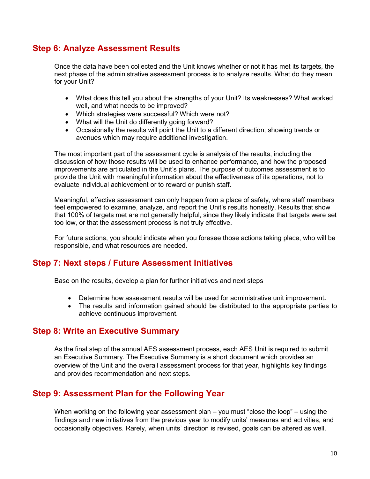# <span id="page-9-0"></span>**Step 6: Analyze Assessment Results**

Once the data have been collected and the Unit knows whether or not it has met its targets, the next phase of the administrative assessment process is to analyze results. What do they mean for your Unit?

- What does this tell you about the strengths of your Unit? Its weaknesses? What worked well, and what needs to be improved?
- Which strategies were successful? Which were not?
- What will the Unit do differently going forward?
- Occasionally the results will point the Unit to a different direction, showing trends or avenues which may require additional investigation.

The most important part of the assessment cycle is analysis of the results, including the discussion of how those results will be used to enhance performance, and how the proposed improvements are articulated in the Unit's plans. The purpose of outcomes assessment is to provide the Unit with meaningful information about the effectiveness of its operations, not to evaluate individual achievement or to reward or punish staff.

Meaningful, effective assessment can only happen from a place of safety, where staff members feel empowered to examine, analyze, and report the Unit's results honestly. Results that show that 100% of targets met are not generally helpful, since they likely indicate that targets were set too low, or that the assessment process is not truly effective.

For future actions, you should indicate when you foresee those actions taking place, who will be responsible, and what resources are needed.

### <span id="page-9-1"></span>**Step 7: Next steps / Future Assessment Initiatives**

Base on the results, develop a plan for further initiatives and next steps

- Determine how assessment results will be used for administrative unit improvement**.**
- The results and information gained should be distributed to the appropriate parties to achieve continuous improvement.

### <span id="page-9-2"></span>**Step 8: Write an Executive Summary**

As the final step of the annual AES assessment process, each AES Unit is required to submit an Executive Summary. The Executive Summary is a short document which provides an overview of the Unit and the overall assessment process for that year, highlights key findings and provides recommendation and next steps.

### **Step 9: Assessment Plan for the Following Year**

When working on the following year assessment plan – you must "close the loop" – using the findings and new initiatives from the previous year to modify units' measures and activities, and occasionally objectives. Rarely, when units' direction is revised, goals can be altered as well.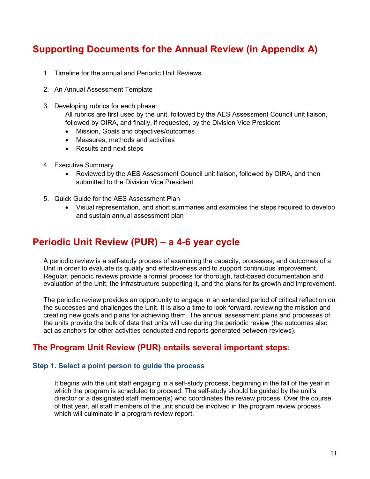# <span id="page-10-0"></span>**Supporting Documents for the Annual Review (in Appendix A)**

- 1. Timeline for the annual and Periodic Unit Reviews
- 2. An Annual Assessment Template
- 3. Developing rubrics for each phase:

All rubrics are first used by the unit, followed by the AES Assessment Council unit liaison, followed by OIRA, and finally, if requested, by the Division Vice President

- Mission, Goals and objectives/outcomes
- Measures, methods and activities
- Results and next steps
- 4. Executive Summary
	- Reviewed by the AES Assessment Council unit liaison, followed by OIRA, and then submitted to the Division Vice President
- 5. Quick Guide for the AES Assessment Plan
	- Visual representation, and short summaries and examples the steps required to develop and sustain annual assessment plan

# <span id="page-10-1"></span>**Periodic Unit Review (PUR) – a 4-6 year cycle**

A periodic review is a self-study process of examining the capacity, processes, and outcomes of a Unit in order to evaluate its quality and effectiveness and to support continuous improvement. Regular, periodic reviews provide a formal process for thorough, fact-based documentation and evaluation of the Unit, the infrastructure supporting it, and the plans for its growth and improvement.

The periodic review provides an opportunity to engage in an extended period of critical reflection on the successes and challenges the Unit. It is also a time to look forward, reviewing the mission and creating new goals and plans for achieving them. The annual assessment plans and processes of the units provide the bulk of data that units will use during the periodic review (the outcomes also act as anchors for other activities conducted and reports generated between reviews).

### <span id="page-10-2"></span>**The Program Unit Review (PUR) entails several important steps:**

### <span id="page-10-3"></span>**Step 1. Select a point person to guide the process**

It begins with the unit staff engaging in a self-study process, beginning in the fall of the year in which the program is scheduled to proceed. The self-study should be guided by the unit's director or a designated staff member(s) who coordinates the review process. Over the course of that year, all staff members of the unit should be involved in the program review process which will culminate in a program review report.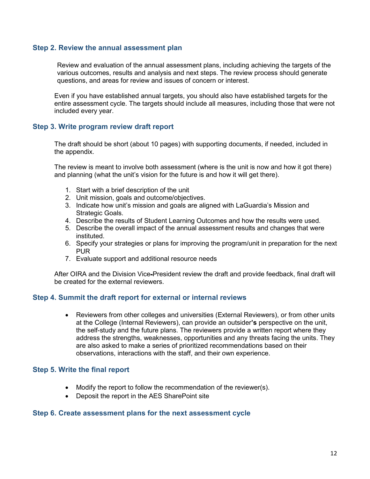### <span id="page-11-0"></span>**Step 2. Review the annual assessment plan**

Review and evaluation of the annual assessment plans, including achieving the targets of the various outcomes, results and analysis and next steps. The review process should generate questions, and areas for review and issues of concern or interest.

Even if you have established annual targets, you should also have established targets for the entire assessment cycle. The targets should include all measures, including those that were not included every year.

### <span id="page-11-1"></span>**Step 3. Write program review draft report**

The draft should be short (about 10 pages) with supporting documents, if needed, included in the appendix.

The review is meant to involve both assessment (where is the unit is now and how it got there) and planning (what the unit's vision for the future is and how it will get there).

- 1. Start with a brief description of the unit
- 2. Unit mission, goals and outcome/objectives.
- 3. Indicate how unit's mission and goals are aligned with LaGuardia's Mission and Strategic Goals.
- 4. Describe the results of Student Learning Outcomes and how the results were used.
- 5. Describe the overall impact of the annual assessment results and changes that were instituted.
- 6. Specify your strategies or plans for improving the program/unit in preparation for the next **PUR**
- 7. Evaluate support and additional resource needs

After OIRA and the Division Vice-President review the draft and provide feedback, final draft will be created for the external reviewers.

### <span id="page-11-2"></span>**Step 4. Summit the draft report for external or internal reviews**

• Reviewers from other colleges and universities (External Reviewers), or from other units at the College (Internal Reviewers), can provide an outsider**'s** perspective on the unit, the self-study and the future plans. The reviewers provide a written report where they address the strengths, weaknesses, opportunities and any threats facing the units. They are also asked to make a series of prioritized recommendations based on their observations, interactions with the staff, and their own experience.

### <span id="page-11-3"></span>**Step 5. Write the final report**

- Modify the report to follow the recommendation of the reviewer(s).
- Deposit the report in the AES SharePoint site

### <span id="page-11-4"></span>**Step 6. Create assessment plans for the next assessment cycle**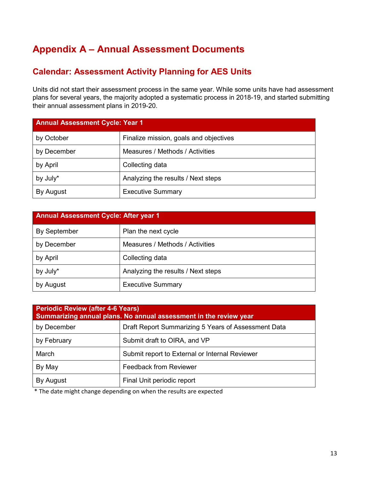# <span id="page-12-0"></span>**Appendix A – Annual Assessment Documents**

# <span id="page-12-1"></span>**Calendar: Assessment Activity Planning for AES Units**

Units did not start their assessment process in the same year. While some units have had assessment plans for several years, the majority adopted a systematic process in 2018-19, and started submitting their annual assessment plans in 2019-20.

| <b>Annual Assessment Cycle: Year 1</b> |                                        |  |  |  |  |
|----------------------------------------|----------------------------------------|--|--|--|--|
| by October                             | Finalize mission, goals and objectives |  |  |  |  |
| by December                            | Measures / Methods / Activities        |  |  |  |  |
| by April                               | Collecting data                        |  |  |  |  |
| by July*                               | Analyzing the results / Next steps     |  |  |  |  |
| By August                              | <b>Executive Summary</b>               |  |  |  |  |

| <b>Annual Assessment Cycle: After year 1</b> |                                    |  |  |  |  |
|----------------------------------------------|------------------------------------|--|--|--|--|
| <b>By September</b>                          | Plan the next cycle                |  |  |  |  |
| by December                                  | Measures / Methods / Activities    |  |  |  |  |
| by April                                     | Collecting data                    |  |  |  |  |
| by July*                                     | Analyzing the results / Next steps |  |  |  |  |
| by August                                    | <b>Executive Summary</b>           |  |  |  |  |

| <b>Periodic Review (after 4-6 Years)</b><br>Summarizing annual plans. No annual assessment in the review year |                                                     |  |  |  |  |
|---------------------------------------------------------------------------------------------------------------|-----------------------------------------------------|--|--|--|--|
| by December                                                                                                   | Draft Report Summarizing 5 Years of Assessment Data |  |  |  |  |
| by February                                                                                                   | Submit draft to OIRA, and VP                        |  |  |  |  |
| March                                                                                                         | Submit report to External or Internal Reviewer      |  |  |  |  |
| By May                                                                                                        | <b>Feedback from Reviewer</b>                       |  |  |  |  |
| By August                                                                                                     | Final Unit periodic report                          |  |  |  |  |

\* The date might change depending on when the results are expected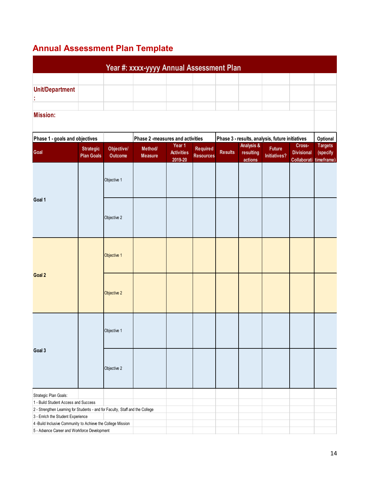# <span id="page-13-0"></span>**Annual Assessment Plan Template**

|                                                                                                                       |                                       | Year #: xxxx-yyyy Annual Assessment Plan |                           |                              |                                     |                       |                      |                                      |                                  |                        |
|-----------------------------------------------------------------------------------------------------------------------|---------------------------------------|------------------------------------------|---------------------------|------------------------------|-------------------------------------|-----------------------|----------------------|--------------------------------------|----------------------------------|------------------------|
|                                                                                                                       |                                       |                                          |                           |                              |                                     |                       |                      |                                      |                                  |                        |
| <b>Unit/Department</b>                                                                                                |                                       |                                          |                           |                              |                                     |                       |                      |                                      |                                  |                        |
|                                                                                                                       |                                       |                                          |                           |                              |                                     |                       |                      |                                      |                                  |                        |
|                                                                                                                       |                                       |                                          |                           |                              |                                     |                       |                      |                                      |                                  |                        |
|                                                                                                                       |                                       |                                          |                           |                              |                                     |                       |                      |                                      |                                  |                        |
| <b>Mission:</b>                                                                                                       |                                       |                                          |                           |                              |                                     |                       |                      |                                      |                                  |                        |
| Phase 1 - goals and objectives<br>Phase 3 - results, analysis, future initiatives<br>Phase 2 -measures and activities |                                       |                                          |                           |                              |                                     |                       |                      |                                      |                                  | Optional               |
|                                                                                                                       |                                       |                                          |                           | Year 1                       |                                     | <b>Analysis &amp;</b> |                      |                                      | Cross-                           | <b>Targets</b>         |
| Goal                                                                                                                  | <b>Strategic</b><br><b>Plan Goals</b> | Objective/<br>Outcome                    | Method/<br><b>Measure</b> | <b>Activities</b><br>2019-20 | <b>Required</b><br><b>Resources</b> | <b>Results</b>        | resulting<br>actions | <b>Future</b><br><b>Initiatives?</b> | <b>Divisional</b><br>Collaborati | (specify<br>timeframe) |
|                                                                                                                       |                                       | Objective 1                              |                           |                              |                                     |                       |                      |                                      |                                  |                        |
| Goal 1                                                                                                                |                                       | Objective 2                              |                           |                              |                                     |                       |                      |                                      |                                  |                        |
|                                                                                                                       |                                       | Objective 1                              |                           |                              |                                     |                       |                      |                                      |                                  |                        |
| Goal 2                                                                                                                |                                       | Objective 2                              |                           |                              |                                     |                       |                      |                                      |                                  |                        |
|                                                                                                                       |                                       | Objective 1                              |                           |                              |                                     |                       |                      |                                      |                                  |                        |
| Goal 3                                                                                                                |                                       | Objective 2                              |                           |                              |                                     |                       |                      |                                      |                                  |                        |
|                                                                                                                       |                                       |                                          |                           |                              |                                     |                       |                      |                                      |                                  |                        |
| Strategic Plan Goals:<br>1 - Build Student Access and Success                                                         |                                       |                                          |                           |                              |                                     |                       |                      |                                      |                                  |                        |
| 2 - Strengthen Learning for Students - and for Faculty, Staff and the College                                         |                                       |                                          |                           |                              |                                     |                       |                      |                                      |                                  |                        |
| 3 - Enrich the Student Experience                                                                                     |                                       |                                          |                           |                              |                                     |                       |                      |                                      |                                  |                        |
| 4 -Build Inclusive Community to Achieve the College Mission                                                           |                                       |                                          |                           |                              |                                     |                       |                      |                                      |                                  |                        |
| 5 - Advance Career and Workforce Development                                                                          |                                       |                                          |                           |                              |                                     |                       |                      |                                      |                                  |                        |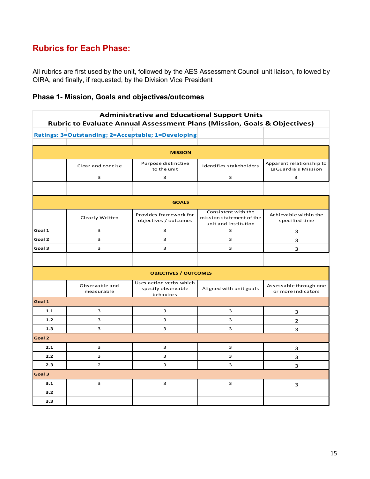# **Rubrics for Each Phase:**

All rubrics are first used by the unit, followed by the AES Assessment Council unit liaison, followed by OIRA, and finally, if requested, by the Division Vice President

### **Phase 1- Mission, Goals and objectives/outcomes**

| <b>Administrative and Educational Support Units</b><br>Rubric to Evaluate Annual Assessment Plans (Mission, Goals & Objectives) |                                                    |                                                            |                                                                         |                                                 |  |  |
|---------------------------------------------------------------------------------------------------------------------------------|----------------------------------------------------|------------------------------------------------------------|-------------------------------------------------------------------------|-------------------------------------------------|--|--|
|                                                                                                                                 | Ratings: 3=Outstanding; 2=Acceptable; 1=Developing |                                                            |                                                                         |                                                 |  |  |
|                                                                                                                                 |                                                    |                                                            |                                                                         |                                                 |  |  |
|                                                                                                                                 |                                                    | <b>MISSION</b>                                             |                                                                         |                                                 |  |  |
|                                                                                                                                 | Clear and concise                                  | Purpose distinctive<br>to the unit                         | Identifies stakeholders                                                 | Apparent relationship to<br>LaGuardia's Mission |  |  |
|                                                                                                                                 | 3                                                  | 3                                                          | 3                                                                       | 3                                               |  |  |
|                                                                                                                                 |                                                    |                                                            |                                                                         |                                                 |  |  |
|                                                                                                                                 |                                                    | <b>GOALS</b>                                               |                                                                         |                                                 |  |  |
|                                                                                                                                 | Clearly Written                                    | Provides framework for<br>objectives / outcomes            | Consistent with the<br>mission statement of the<br>unit and institution | Achievable within the<br>specified time         |  |  |
| Goal 1                                                                                                                          | 3                                                  | 3                                                          | 3                                                                       | 3                                               |  |  |
| Goal 2                                                                                                                          | 3                                                  | 3                                                          | 3                                                                       | 3                                               |  |  |
| Goal 3                                                                                                                          | 3                                                  | 3                                                          | 3                                                                       | 3                                               |  |  |
|                                                                                                                                 |                                                    |                                                            |                                                                         |                                                 |  |  |
|                                                                                                                                 |                                                    | <b>OBJECTIVES / OUTCOMES</b>                               |                                                                         |                                                 |  |  |
|                                                                                                                                 | Observable and<br>measurable                       | Uses action verbs which<br>specify observable<br>behaviors | Aligned with unit goals                                                 | Assessable through one<br>or more indicators    |  |  |
| Goal 1                                                                                                                          |                                                    |                                                            |                                                                         |                                                 |  |  |
| 1.1                                                                                                                             | 3                                                  | 3                                                          | 3                                                                       | 3                                               |  |  |
| 1.2                                                                                                                             | 3                                                  | 3                                                          | 3                                                                       | 2                                               |  |  |
| 1.3                                                                                                                             | 3                                                  | 3                                                          | 3                                                                       | 3                                               |  |  |
| Goal 2                                                                                                                          |                                                    |                                                            |                                                                         |                                                 |  |  |
| 2.1                                                                                                                             | 3                                                  | 3                                                          | 3                                                                       | з                                               |  |  |
| 2.2                                                                                                                             | 3                                                  | 3                                                          | 3                                                                       | 3                                               |  |  |
| 2.3                                                                                                                             | $\overline{2}$                                     | 3                                                          | 3                                                                       | 3                                               |  |  |
| Goal 3                                                                                                                          |                                                    |                                                            |                                                                         |                                                 |  |  |
| 3.1                                                                                                                             | 3                                                  | 3                                                          | 3                                                                       | 3                                               |  |  |
| 3.2                                                                                                                             |                                                    |                                                            |                                                                         |                                                 |  |  |
| 3.3                                                                                                                             |                                                    |                                                            |                                                                         |                                                 |  |  |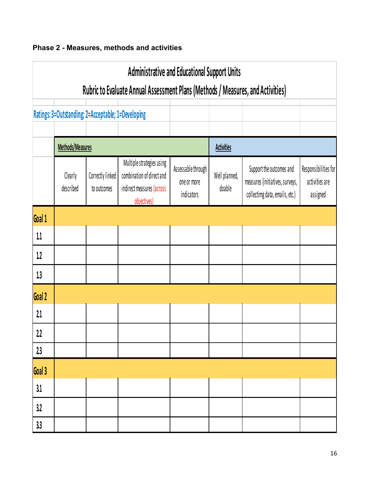

| <b>Administrative and Educational Support Units</b><br>Rubric to Evaluate Annual Assessment Plans (Methods / Measures, and Activities) |                      |                                                    |                                                                                                    |                                                 |                         |                                                                                               |                                                    |  |  |
|----------------------------------------------------------------------------------------------------------------------------------------|----------------------|----------------------------------------------------|----------------------------------------------------------------------------------------------------|-------------------------------------------------|-------------------------|-----------------------------------------------------------------------------------------------|----------------------------------------------------|--|--|
|                                                                                                                                        |                      |                                                    |                                                                                                    |                                                 |                         |                                                                                               |                                                    |  |  |
|                                                                                                                                        |                      | Ratings: 3=Outstanding; 2=Acceptable; 1=Developing |                                                                                                    |                                                 |                         |                                                                                               |                                                    |  |  |
|                                                                                                                                        | Methods/Measures     |                                                    |                                                                                                    |                                                 | <b>Activities</b>       |                                                                                               |                                                    |  |  |
|                                                                                                                                        | Clearly<br>described | Correctly linked<br>to outcomes                    | Multiple strategies using<br>combination of direct and<br>indirect measures (across<br>objectives) | Assessable through<br>one or more<br>indicators | Well planned,<br>doable | Support the outcomes and<br>measures (initiatives, surveys,<br>collectimg data, emails, etc.) | Responsibilities for<br>activities are<br>assigned |  |  |
| Goal 1                                                                                                                                 |                      |                                                    |                                                                                                    |                                                 |                         |                                                                                               |                                                    |  |  |
| 1.1                                                                                                                                    |                      |                                                    |                                                                                                    |                                                 |                         |                                                                                               |                                                    |  |  |
| 1.2                                                                                                                                    |                      |                                                    |                                                                                                    |                                                 |                         |                                                                                               |                                                    |  |  |
| 1.3                                                                                                                                    |                      |                                                    |                                                                                                    |                                                 |                         |                                                                                               |                                                    |  |  |
| Goal 2                                                                                                                                 |                      |                                                    |                                                                                                    |                                                 |                         |                                                                                               |                                                    |  |  |
| 2.1                                                                                                                                    |                      |                                                    |                                                                                                    |                                                 |                         |                                                                                               |                                                    |  |  |
| 2.2                                                                                                                                    |                      |                                                    |                                                                                                    |                                                 |                         |                                                                                               |                                                    |  |  |
| 2.3                                                                                                                                    |                      |                                                    |                                                                                                    |                                                 |                         |                                                                                               |                                                    |  |  |
| Goal 3                                                                                                                                 |                      |                                                    |                                                                                                    |                                                 |                         |                                                                                               |                                                    |  |  |
| 3.1                                                                                                                                    |                      |                                                    |                                                                                                    |                                                 |                         |                                                                                               |                                                    |  |  |
| 3.2                                                                                                                                    |                      |                                                    |                                                                                                    |                                                 |                         |                                                                                               |                                                    |  |  |
| 3.3                                                                                                                                    |                      |                                                    |                                                                                                    |                                                 |                         |                                                                                               |                                                    |  |  |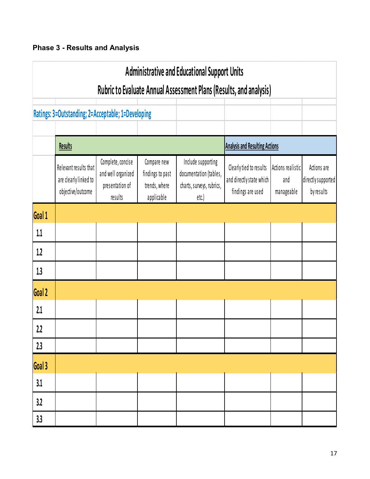# **Phase 3 - Results and Analysis**

| <b>Administrative and Educational Support Units</b> |                                                                     |                                                                       |                                                                |                                                                                    |                                                                          |                                        |                                                 |  |
|-----------------------------------------------------|---------------------------------------------------------------------|-----------------------------------------------------------------------|----------------------------------------------------------------|------------------------------------------------------------------------------------|--------------------------------------------------------------------------|----------------------------------------|-------------------------------------------------|--|
|                                                     |                                                                     |                                                                       |                                                                | <b>Rubric to Evaluate Annual Assessment Plans (Results, and analysis)</b>          |                                                                          |                                        |                                                 |  |
|                                                     | Ratings: 3=Outstanding; 2=Acceptable; 1=Developing                  |                                                                       |                                                                |                                                                                    |                                                                          |                                        |                                                 |  |
|                                                     |                                                                     |                                                                       |                                                                |                                                                                    |                                                                          |                                        |                                                 |  |
|                                                     | <b>Results</b>                                                      |                                                                       |                                                                |                                                                                    | <b>Analysis and Resulting Actions</b>                                    |                                        |                                                 |  |
|                                                     | Relevant results that<br>are clearly linked to<br>objective/outcome | Complete, concise<br>and well organized<br>presentation of<br>results | Compare new<br>findings to past<br>trends, where<br>applicable | Include supporting<br>documentation (tables,<br>charts, surveys, rubrics,<br>etc.) | Clearly tied to results<br>and directly state which<br>findings are used | Actions realistic<br>and<br>manageable | Actions are<br>directly supported<br>by results |  |
| Goal 1                                              |                                                                     |                                                                       |                                                                |                                                                                    |                                                                          |                                        |                                                 |  |
| 1.1                                                 |                                                                     |                                                                       |                                                                |                                                                                    |                                                                          |                                        |                                                 |  |
| 1.2                                                 |                                                                     |                                                                       |                                                                |                                                                                    |                                                                          |                                        |                                                 |  |
| 1.3                                                 |                                                                     |                                                                       |                                                                |                                                                                    |                                                                          |                                        |                                                 |  |
| Goal 2                                              |                                                                     |                                                                       |                                                                |                                                                                    |                                                                          |                                        |                                                 |  |
| 2.1                                                 |                                                                     |                                                                       |                                                                |                                                                                    |                                                                          |                                        |                                                 |  |
| 2.2                                                 |                                                                     |                                                                       |                                                                |                                                                                    |                                                                          |                                        |                                                 |  |
| 2.3                                                 |                                                                     |                                                                       |                                                                |                                                                                    |                                                                          |                                        |                                                 |  |
| Goal 3                                              |                                                                     |                                                                       |                                                                |                                                                                    |                                                                          |                                        |                                                 |  |
| 3.1                                                 |                                                                     |                                                                       |                                                                |                                                                                    |                                                                          |                                        |                                                 |  |
| 3.2                                                 |                                                                     |                                                                       |                                                                |                                                                                    |                                                                          |                                        |                                                 |  |
| 3.3                                                 |                                                                     |                                                                       |                                                                |                                                                                    |                                                                          |                                        |                                                 |  |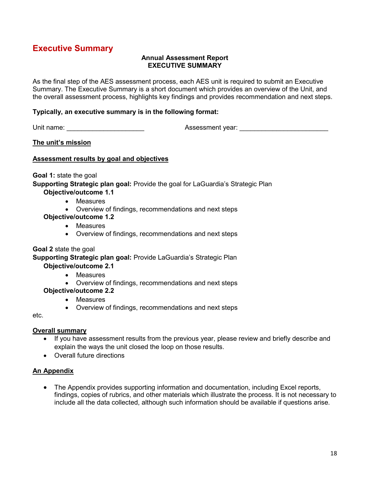# <span id="page-17-0"></span>**Executive Summary**

### **Annual Assessment Report EXECUTIVE SUMMARY**

As the final step of the AES assessment process, each AES unit is required to submit an Executive Summary. The Executive Summary is a short document which provides an overview of the Unit, and the overall assessment process, highlights key findings and provides recommendation and next steps.

### **Typically, an executive summary is in the following format:**

Unit name: \_\_\_\_\_\_\_\_\_\_\_\_\_\_\_\_\_\_\_\_\_ Assessment year: \_\_\_\_\_\_\_\_\_\_\_\_\_\_\_\_\_\_\_\_\_\_\_\_

**The unit's mission**

### **Assessment results by goal and objectives**

**Goal 1:** state the goal

**Supporting Strategic plan goal:** Provide the goal for LaGuardia's Strategic Plan **Objective/outcome 1.1**

- Measures
	- Overview of findings, recommendations and next steps
- **Objective/outcome 1.2**
	- Measures
	- Overview of findings, recommendations and next steps

### **Goal 2** state the goal

**Supporting Strategic plan goal:** Provide LaGuardia's Strategic Plan **Objective/outcome 2.1**

- Measures
- Overview of findings, recommendations and next steps

### **Objective/outcome 2.2**

- Measures
- Overview of findings, recommendations and next steps

etc.

### **Overall summary**

- If you have assessment results from the previous year, please review and briefly describe and explain the ways the unit closed the loop on those results.
- Overall future directions

### **An Appendix**

• The Appendix provides supporting information and documentation, including Excel reports, findings, copies of rubrics, and other materials which illustrate the process. It is not necessary to include all the data collected, although such information should be available if questions arise.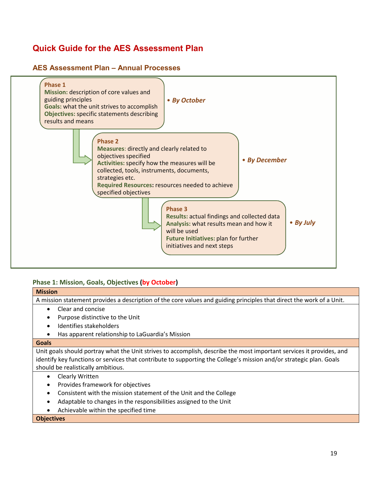# **Quick Guide for the AES Assessment Plan**

### **AES Assessment Plan – Annual Processes**



### **Phase 1: Mission, Goals, Objectives (by October)**

| <b>Mission</b>                                                                                                       |
|----------------------------------------------------------------------------------------------------------------------|
| A mission statement provides a description of the core values and guiding principles that direct the work of a Unit. |
| Clear and concise                                                                                                    |
| Purpose distinctive to the Unit                                                                                      |
| Identifies stakeholders                                                                                              |
| Has apparent relationship to LaGuardia's Mission                                                                     |
| <b>Goals</b>                                                                                                         |
| Unit goals should portray what the Unit strives to accomplish, describe the most important services it provides, and |
| identify key functions or services that contribute to supporting the College's mission and/or strategic plan. Goals  |
| should be realistically ambitious.                                                                                   |
| Clearly Written                                                                                                      |
| Provides framework for objectives                                                                                    |
| Consistent with the mission statement of the Unit and the College                                                    |
| Adaptable to changes in the responsibilities assigned to the Unit                                                    |
| Achievable within the specified time                                                                                 |

#### **Objectives**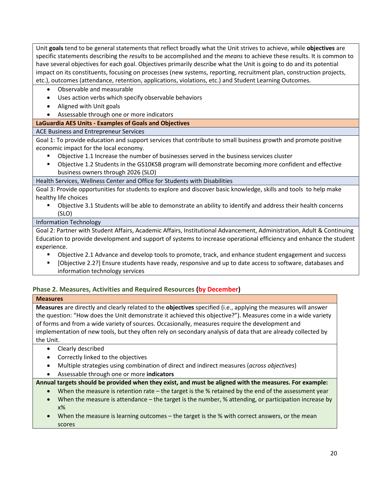Unit **goals** tend to be general statements that reflect broadly what the Unit strives to achieve, while **objectives** are specific statements describing the *results* to be accomplished and the *means* to achieve these results. It is common to have several objectives for each goal. Objectives primarily describe what the Unit is going to do and its potential impact on its constituents, focusing on processes (new systems, reporting, recruitment plan, construction projects, etc.), outcomes (attendance, retention, applications, violations, etc.) and Student Learning Outcomes.

- Observable and measurable
- Uses action verbs which specify observable behaviors
- Aligned with Unit goals
- Assessable through one or more indicators

### **LaGuardia AES Units - Examples of Goals and Objectives**

### ACE Business and Entrepreneur Services

Goal 1: To provide education and support services that contribute to small business growth and promote positive economic impact for the local economy.

- Objective 1.1 Increase the number of businesses served in the business services cluster
- Objective 1.2 Students in the GS10KSB program will demonstrate becoming more confident and effective business owners through 2026 (SLO)

Health Services, Wellness Center and Office for Students with Disabilities

Goal 3: Provide opportunities for students to explore and discover basic knowledge, skills and tools to help make healthy life choices

 Objective 3.1 Students will be able to demonstrate an ability to identify and address their health concerns (SLO)

### Information Technology

Goal 2: Partner with Student Affairs, Academic Affairs, Institutional Advancement, Administration, Adult & Continuing Education to provide development and support of systems to increase operational efficiency and enhance the student experience.

- Objective 2.1 Advance and develop tools to promote, track, and enhance student engagement and success
- [Objective 2.2?] Ensure students have ready, responsive and up to date access to software, databases and information technology services

### **Phase 2. Measures, Activities and Required Resources (by December)**

### **Measures**

**Measures** are directly and clearly related to the **objectives** specified (i.e., applying the measures will answer the question: "How does the Unit demonstrate it achieved this objective?"). Measures come in a wide variety of forms and from a wide variety of sources. Occasionally, measures require the development and implementation of new tools, but they often rely on secondary analysis of data that are already collected by the Unit.

- Clearly described
- Correctly linked to the objectives
- Multiple strategies using combination of direct and indirect measures (*across objectives*)
- Assessable through one or more **indicators**

### **Annual targets should be provided when they exist, and must be aligned with the measures. For example:**

- When the measure is retention rate the target is the % retained by the end of the assessment year
- When the measure is attendance the target is the number, % attending, or participation increase by x%
- When the measure is learning outcomes the target is the % with correct answers, or the mean scores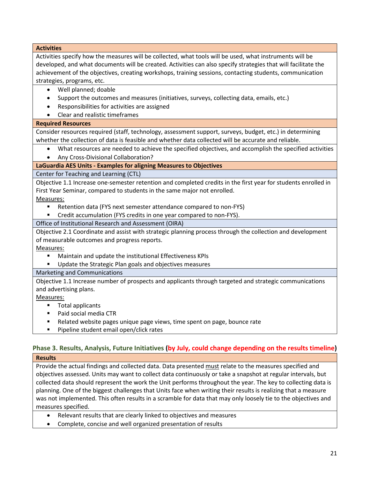**Activities**

Activities specify how the measures will be collected, what tools will be used, what instruments will be developed, and what documents will be created. Activities can also specify strategies that will facilitate the achievement of the objectives, creating workshops, training sessions, contacting students, communication strategies, programs, etc.

- Well planned; doable
- Support the outcomes and measures (initiatives, surveys, collecting data, emails, etc.)
- Responsibilities for activities are assigned
- Clear and realistic timeframes

### **Required Resources**

Consider resources required (staff, technology, assessment support, surveys, budget, etc.) in determining whether the collection of data is feasible and whether data collected will be accurate and reliable.

- What resources are needed to achieve the specified objectives, and accomplish the specified activities
- Any Cross-Divisional Collaboration?

### **LaGuardia AES Units - Examples for aligning Measures to Objectives**

Center for Teaching and Learning (CTL)

Objective 1.1 Increase one-semester retention and completed credits in the first year for students enrolled in First Year Seminar, compared to students in the same major not enrolled.

Measures:

- **E** Retention data (FYS next semester attendance compared to non-FYS)
- **EXP** Credit accumulation (FYS credits in one year compared to non-FYS).

Office of Institutional Research and Assessment (OIRA)

Objective 2.1 Coordinate and assist with strategic planning process through the collection and development of measurable outcomes and progress reports.

Measures:

- Maintain and update the institutional Effectiveness KPIs
- **Update the Strategic Plan goals and objectives measures**

### Marketing and Communications

Objective 1.1 Increase number of prospects and applicants through targeted and strategic communications and advertising plans.

### Measures:

- **Total applicants**
- Paid social media CTR
- Related website pages unique page views, time spent on page, bounce rate
- **Pipeline student email open/click rates**

### **Phase 3. Results, Analysis, Future Initiatives (by July, could change depending on the results timeline) Results**

Provide the actual findings and collected data. Data presented must relate to the measures specified and objectives assessed. Units may want to collect data continuously or take a snapshot at regular intervals, but collected data should represent the work the Unit performs throughout the year. The key to collecting data is planning. One of the biggest challenges that Units face when writing their results is realizing that a measure was not implemented. This often results in a scramble for data that may only loosely tie to the objectives and measures specified.

- Relevant results that are clearly linked to objectives and measures
- Complete, concise and well organized presentation of results